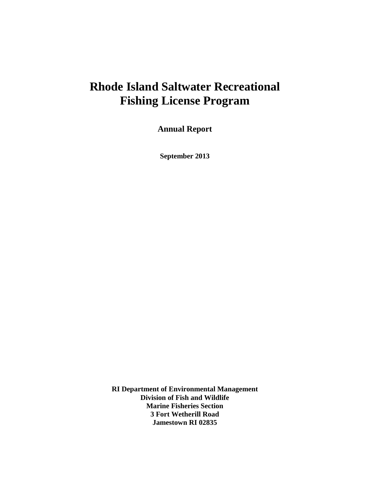# **Rhode Island Saltwater Recreational Fishing License Program**

**Annual Report** 

**September 2013** 

**RI Department of Environmental Management Division of Fish and Wildlife Marine Fisheries Section 3 Fort Wetherill Road Jamestown RI 02835**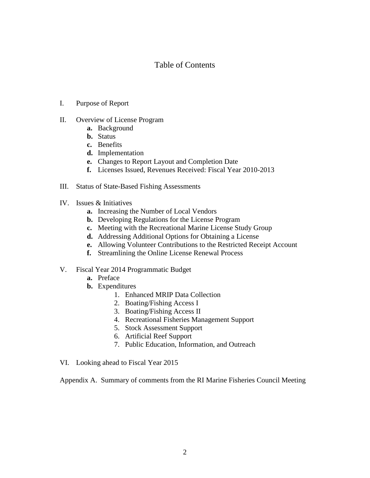#### Table of Contents

- I. Purpose of Report
- II. Overview of License Program
	- **a.** Background
	- **b.** Status
	- **c.** Benefits
	- **d.** Implementation
	- **e.** Changes to Report Layout and Completion Date
	- **f.** Licenses Issued, Revenues Received: Fiscal Year 2010-2013
- III. Status of State-Based Fishing Assessments
- IV. Issues & Initiatives
	- **a.** Increasing the Number of Local Vendors
	- **b.** Developing Regulations for the License Program
	- **c.** Meeting with the Recreational Marine License Study Group
	- **d.** Addressing Additional Options for Obtaining a License
	- **e.** Allowing Volunteer Contributions to the Restricted Receipt Account
	- **f.** Streamlining the Online License Renewal Process
- V. Fiscal Year 2014 Programmatic Budget
	- **a.** Preface
	- **b.** Expenditures
		- 1. Enhanced MRIP Data Collection
		- 2. Boating/Fishing Access I
		- 3. Boating/Fishing Access II
		- 4. Recreational Fisheries Management Support
		- 5. Stock Assessment Support
		- 6. Artificial Reef Support
		- 7. Public Education, Information, and Outreach
- VI. Looking ahead to Fiscal Year 2015

Appendix A. Summary of comments from the RI Marine Fisheries Council Meeting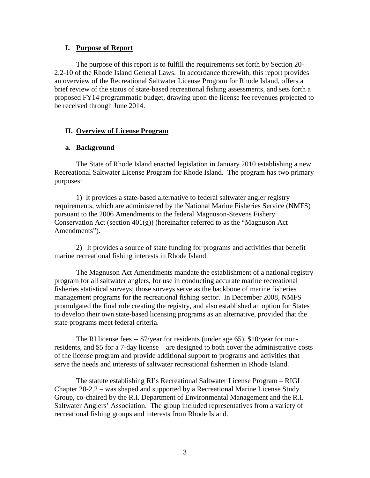#### **I. Purpose of Report**

 The purpose of this report is to fulfill the requirements set forth by Section 20- 2.2-10 of the Rhode Island General Laws. In accordance therewith, this report provides an overview of the Recreational Saltwater License Program for Rhode Island, offers a brief review of the status of state-based recreational fishing assessments, and sets forth a proposed FY14 programmatic budget, drawing upon the license fee revenues projected to be received through June 2014.

#### **II. Overview of License Program**

#### **a. Background**

The State of Rhode Island enacted legislation in January 2010 establishing a new Recreational Saltwater License Program for Rhode Island. The program has two primary purposes:

 1) It provides a state-based alternative to federal saltwater angler registry requirements, which are administered by the National Marine Fisheries Service (NMFS) pursuant to the 2006 Amendments to the federal Magnuson-Stevens Fishery Conservation Act (section  $401(g)$ ) (hereinafter referred to as the "Magnuson Act Amendments").

2) It provides a source of state funding for programs and activities that benefit marine recreational fishing interests in Rhode Island.

The Magnuson Act Amendments mandate the establishment of a national registry program for all saltwater anglers, for use in conducting accurate marine recreational fisheries statistical surveys; those surveys serve as the backbone of marine fisheries management programs for the recreational fishing sector. In December 2008, NMFS promulgated the final rule creating the registry, and also established an option for States to develop their own state-based licensing programs as an alternative, provided that the state programs meet federal criteria.

The RI license fees -- \$7/year for residents (under age 65), \$10/year for nonresidents, and \$5 for a 7-day license – are designed to both cover the administrative costs of the license program and provide additional support to programs and activities that serve the needs and interests of saltwater recreational fishermen in Rhode Island.

The statute establishing RI's Recreational Saltwater License Program – RIGL Chapter 20-2.2 – was shaped and supported by a Recreational Marine License Study Group, co-chaired by the R.I. Department of Environmental Management and the R.I. Saltwater Anglers' Association. The group included representatives from a variety of recreational fishing groups and interests from Rhode Island.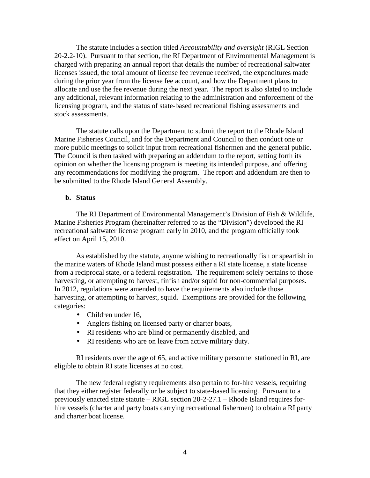The statute includes a section titled *Accountability and oversight* (RIGL Section 20-2.2-10). Pursuant to that section, the RI Department of Environmental Management is charged with preparing an annual report that details the number of recreational saltwater licenses issued, the total amount of license fee revenue received, the expenditures made during the prior year from the license fee account, and how the Department plans to allocate and use the fee revenue during the next year. The report is also slated to include any additional, relevant information relating to the administration and enforcement of the licensing program, and the status of state-based recreational fishing assessments and stock assessments.

The statute calls upon the Department to submit the report to the Rhode Island Marine Fisheries Council, and for the Department and Council to then conduct one or more public meetings to solicit input from recreational fishermen and the general public. The Council is then tasked with preparing an addendum to the report, setting forth its opinion on whether the licensing program is meeting its intended purpose, and offering any recommendations for modifying the program. The report and addendum are then to be submitted to the Rhode Island General Assembly.

#### **b. Status**

The RI Department of Environmental Management's Division of Fish & Wildlife, Marine Fisheries Program (hereinafter referred to as the "Division") developed the RI recreational saltwater license program early in 2010, and the program officially took effect on April 15, 2010.

 As established by the statute, anyone wishing to recreationally fish or spearfish in the marine waters of Rhode Island must possess either a RI state license, a state license from a reciprocal state, or a federal registration. The requirement solely pertains to those harvesting, or attempting to harvest, finfish and/or squid for non-commercial purposes. In 2012, regulations were amended to have the requirements also include those harvesting, or attempting to harvest, squid. Exemptions are provided for the following categories:

- Children under 16,
- Anglers fishing on licensed party or charter boats,
- RI residents who are blind or permanently disabled, and
- RI residents who are on leave from active military duty.

RI residents over the age of 65, and active military personnel stationed in RI, are eligible to obtain RI state licenses at no cost.

The new federal registry requirements also pertain to for-hire vessels, requiring that they either register federally or be subject to state-based licensing. Pursuant to a previously enacted state statute – RIGL section 20-2-27.1 – Rhode Island requires forhire vessels (charter and party boats carrying recreational fishermen) to obtain a RI party and charter boat license.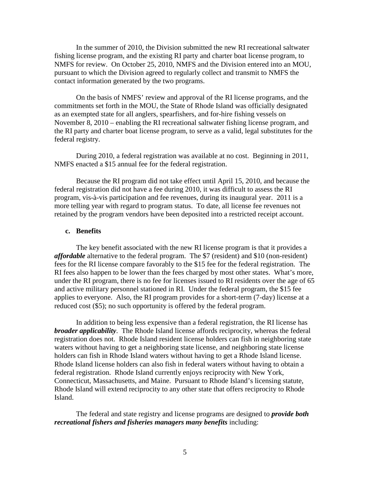In the summer of 2010, the Division submitted the new RI recreational saltwater fishing license program, and the existing RI party and charter boat license program, to NMFS for review. On October 25, 2010, NMFS and the Division entered into an MOU, pursuant to which the Division agreed to regularly collect and transmit to NMFS the contact information generated by the two programs.

On the basis of NMFS' review and approval of the RI license programs, and the commitments set forth in the MOU, the State of Rhode Island was officially designated as an exempted state for all anglers, spearfishers, and for-hire fishing vessels on November 8, 2010 – enabling the RI recreational saltwater fishing license program, and the RI party and charter boat license program, to serve as a valid, legal substitutes for the federal registry.

During 2010, a federal registration was available at no cost. Beginning in 2011, NMFS enacted a \$15 annual fee for the federal registration.

Because the RI program did not take effect until April 15, 2010, and because the federal registration did not have a fee during 2010, it was difficult to assess the RI program, vis-à-vis participation and fee revenues, during its inaugural year. 2011 is a more telling year with regard to program status. To date, all license fee revenues not retained by the program vendors have been deposited into a restricted receipt account.

#### **c. Benefits**

 The key benefit associated with the new RI license program is that it provides a *affordable* alternative to the federal program. The \$7 (resident) and \$10 (non-resident) fees for the RI license compare favorably to the \$15 fee for the federal registration. The RI fees also happen to be lower than the fees charged by most other states. What's more, under the RI program, there is no fee for licenses issued to RI residents over the age of 65 and active military personnel stationed in RI. Under the federal program, the \$15 fee applies to everyone. Also, the RI program provides for a short-term (7-day) license at a reduced cost (\$5); no such opportunity is offered by the federal program.

In addition to being less expensive than a federal registration, the RI license has *broader applicability*. The Rhode Island license affords reciprocity, whereas the federal registration does not. Rhode Island resident license holders can fish in neighboring state waters without having to get a neighboring state license, and neighboring state license holders can fish in Rhode Island waters without having to get a Rhode Island license. Rhode Island license holders can also fish in federal waters without having to obtain a federal registration. Rhode Island currently enjoys reciprocity with New York, Connecticut, Massachusetts, and Maine. Pursuant to Rhode Island's licensing statute, Rhode Island will extend reciprocity to any other state that offers reciprocity to Rhode Island.

The federal and state registry and license programs are designed to *provide both recreational fishers and fisheries managers many benefits* including: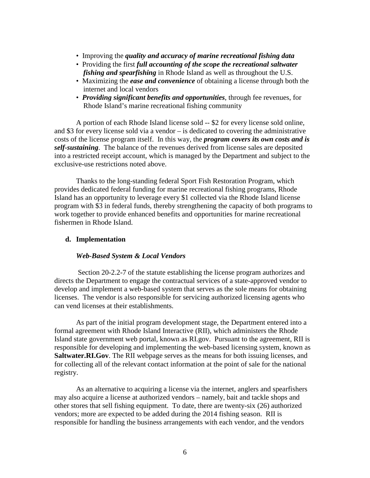- Improving the *quality and accuracy of marine recreational fishing data*
- Providing the first *full accounting of the scope the recreational saltwater*  *fishing and spearfishing* in Rhode Island as well as throughout the U.S.
- Maximizing the *ease and convenience* of obtaining a license through both the internet and local vendors
- *Providing significant benefits and opportunities*, through fee revenues, for Rhode Island's marine recreational fishing community

A portion of each Rhode Island license sold -- \$2 for every license sold online, and \$3 for every license sold via a vendor – is dedicated to covering the administrative costs of the license program itself. In this way, the *program covers its own costs and is self-sustaining*. The balance of the revenues derived from license sales are deposited into a restricted receipt account, which is managed by the Department and subject to the exclusive-use restrictions noted above.

Thanks to the long-standing federal Sport Fish Restoration Program, which provides dedicated federal funding for marine recreational fishing programs, Rhode Island has an opportunity to leverage every \$1 collected via the Rhode Island license program with \$3 in federal funds, thereby strengthening the capacity of both programs to work together to provide enhanced benefits and opportunities for marine recreational fishermen in Rhode Island.

#### **d. Implementation**

#### *Web-Based System & Local Vendors*

 Section 20-2.2-7 of the statute establishing the license program authorizes and directs the Department to engage the contractual services of a state-approved vendor to develop and implement a web-based system that serves as the sole means for obtaining licenses. The vendor is also responsible for servicing authorized licensing agents who can vend licenses at their establishments.

 As part of the initial program development stage, the Department entered into a formal agreement with Rhode Island Interactive (RII), which administers the Rhode Island state government web portal, known as RI.gov. Pursuant to the agreement, RII is responsible for developing and implementing the web-based licensing system, known as **Saltwater.RI.Gov**. The RII webpage serves as the means for both issuing licenses, and for collecting all of the relevant contact information at the point of sale for the national registry.

As an alternative to acquiring a license via the internet, anglers and spearfishers may also acquire a license at authorized vendors – namely, bait and tackle shops and other stores that sell fishing equipment. To date, there are twenty-six (26) authorized vendors; more are expected to be added during the 2014 fishing season. RII is responsible for handling the business arrangements with each vendor, and the vendors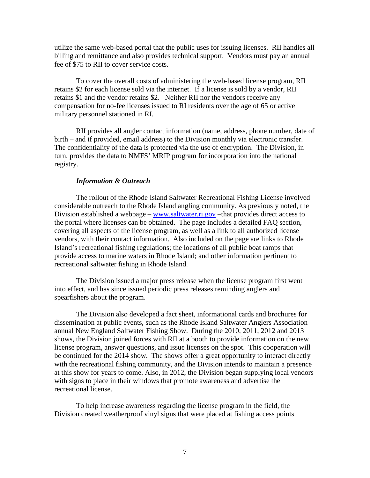utilize the same web-based portal that the public uses for issuing licenses. RII handles all billing and remittance and also provides technical support. Vendors must pay an annual fee of \$75 to RII to cover service costs.

To cover the overall costs of administering the web-based license program, RII retains \$2 for each license sold via the internet. If a license is sold by a vendor, RII retains \$1 and the vendor retains \$2. Neither RII nor the vendors receive any compensation for no-fee licenses issued to RI residents over the age of 65 or active military personnel stationed in RI.

RII provides all angler contact information (name, address, phone number, date of birth – and if provided, email address) to the Division monthly via electronic transfer. The confidentiality of the data is protected via the use of encryption. The Division, in turn, provides the data to NMFS' MRIP program for incorporation into the national registry.

#### *Information & Outreach*

The rollout of the Rhode Island Saltwater Recreational Fishing License involved considerable outreach to the Rhode Island angling community. As previously noted, the Division established a webpage – www.saltwater.ri.gov – that provides direct access to the portal where licenses can be obtained. The page includes a detailed FAQ section, covering all aspects of the license program, as well as a link to all authorized license vendors, with their contact information. Also included on the page are links to Rhode Island's recreational fishing regulations; the locations of all public boat ramps that provide access to marine waters in Rhode Island; and other information pertinent to recreational saltwater fishing in Rhode Island.

The Division issued a major press release when the license program first went into effect, and has since issued periodic press releases reminding anglers and spearfishers about the program.

The Division also developed a fact sheet, informational cards and brochures for dissemination at public events, such as the Rhode Island Saltwater Anglers Association annual New England Saltwater Fishing Show. During the 2010, 2011, 2012 and 2013 shows, the Division joined forces with RII at a booth to provide information on the new license program, answer questions, and issue licenses on the spot. This cooperation will be continued for the 2014 show. The shows offer a great opportunity to interact directly with the recreational fishing community, and the Division intends to maintain a presence at this show for years to come. Also, in 2012, the Division began supplying local vendors with signs to place in their windows that promote awareness and advertise the recreational license.

To help increase awareness regarding the license program in the field, the Division created weatherproof vinyl signs that were placed at fishing access points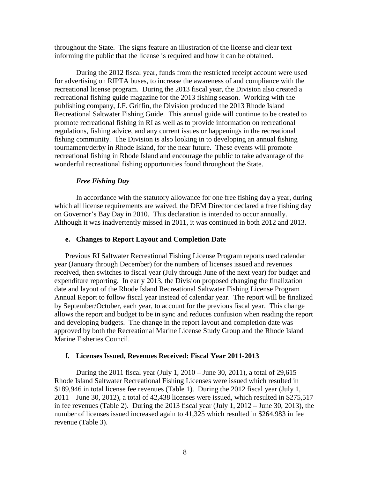throughout the State. The signs feature an illustration of the license and clear text informing the public that the license is required and how it can be obtained.

During the 2012 fiscal year, funds from the restricted receipt account were used for advertising on RIPTA buses, to increase the awareness of and compliance with the recreational license program. During the 2013 fiscal year, the Division also created a recreational fishing guide magazine for the 2013 fishing season. Working with the publishing company, J.F. Griffin, the Division produced the 2013 Rhode Island Recreational Saltwater Fishing Guide. This annual guide will continue to be created to promote recreational fishing in RI as well as to provide information on recreational regulations, fishing advice, and any current issues or happenings in the recreational fishing community. The Division is also looking in to developing an annual fishing tournament/derby in Rhode Island, for the near future. These events will promote recreational fishing in Rhode Island and encourage the public to take advantage of the wonderful recreational fishing opportunities found throughout the State.

#### *Free Fishing Day*

In accordance with the statutory allowance for one free fishing day a year, during which all license requirements are waived, the DEM Director declared a free fishing day on Governor's Bay Day in 2010. This declaration is intended to occur annually. Although it was inadvertently missed in 2011, it was continued in both 2012 and 2013.

#### **e. Changes to Report Layout and Completion Date**

Previous RI Saltwater Recreational Fishing License Program reports used calendar year (January through December) for the numbers of licenses issued and revenues received, then switches to fiscal year (July through June of the next year) for budget and expenditure reporting. In early 2013, the Division proposed changing the finalization date and layout of the Rhode Island Recreational Saltwater Fishing License Program Annual Report to follow fiscal year instead of calendar year. The report will be finalized by September/October, each year, to account for the previous fiscal year. This change allows the report and budget to be in sync and reduces confusion when reading the report and developing budgets. The change in the report layout and completion date was approved by both the Recreational Marine License Study Group and the Rhode Island Marine Fisheries Council.

#### **f. Licenses Issued, Revenues Received: Fiscal Year 2011-2013**

During the 2011 fiscal year (July 1, 2010 – June 30, 2011), a total of 29,615 Rhode Island Saltwater Recreational Fishing Licenses were issued which resulted in \$189,946 in total license fee revenues (Table 1). During the 2012 fiscal year (July 1, 2011 – June 30, 2012), a total of 42,438 licenses were issued, which resulted in \$275,517 in fee revenues (Table 2). During the 2013 fiscal year (July 1,  $2012 -$  June 30, 2013), the number of licenses issued increased again to 41,325 which resulted in \$264,983 in fee revenue (Table 3).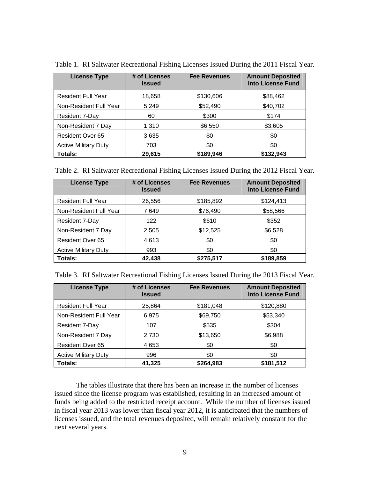| <b>License Type</b>         | # of Licenses<br><b>Issued</b> | <b>Fee Revenues</b> | <b>Amount Deposited</b><br><b>Into License Fund</b> |
|-----------------------------|--------------------------------|---------------------|-----------------------------------------------------|
| <b>Resident Full Year</b>   | 18,658                         | \$130,606           | \$88,462                                            |
| Non-Resident Full Year      | 5,249                          | \$52,490            | \$40,702                                            |
| <b>Resident 7-Day</b>       | 60                             | \$300               | \$174                                               |
| Non-Resident 7 Day          | 1,310                          | \$6,550             | \$3,605                                             |
| <b>Resident Over 65</b>     | 3,635                          | \$0                 | \$0                                                 |
| <b>Active Military Duty</b> | 703                            | \$0                 | \$0                                                 |
| Totals:                     | 29,615                         | \$189,946           | \$132,943                                           |

Table 1. RI Saltwater Recreational Fishing Licenses Issued During the 2011 Fiscal Year.

| Table 2. RI Saltwater Recreational Fishing Licenses Issued During the 2012 Fiscal Year. |  |  |  |  |
|-----------------------------------------------------------------------------------------|--|--|--|--|
|                                                                                         |  |  |  |  |

| <b>License Type</b>         | # of Licenses<br><b>Issued</b> | <b>Fee Revenues</b> | <b>Amount Deposited</b><br><b>Into License Fund</b> |
|-----------------------------|--------------------------------|---------------------|-----------------------------------------------------|
| <b>Resident Full Year</b>   | 26,556                         | \$185,892           | \$124,413                                           |
| Non-Resident Full Year      | 7,649                          | \$76,490            | \$58,566                                            |
| Resident 7-Day              | 122                            | \$610               | \$352                                               |
| Non-Resident 7 Day          | 2,505                          | \$12,525            | \$6,528                                             |
| <b>Resident Over 65</b>     | 4,613                          | \$0                 | \$0                                                 |
| <b>Active Military Duty</b> | 993                            | \$0                 | \$0                                                 |
| Totals:                     | 42,438                         | \$275,517           | \$189,859                                           |

| Table 3. RI Saltwater Recreational Fishing Licenses Issued During the 2013 Fiscal Year. |  |  |  |  |
|-----------------------------------------------------------------------------------------|--|--|--|--|
|                                                                                         |  |  |  |  |

| <b>License Type</b>         | # of Licenses<br><b>Issued</b> | <b>Fee Revenues</b> | <b>Amount Deposited</b><br><b>Into License Fund</b> |
|-----------------------------|--------------------------------|---------------------|-----------------------------------------------------|
| <b>Resident Full Year</b>   | 25,864                         | \$181,048           | \$120,880                                           |
| Non-Resident Full Year      | 6,975                          | \$69,750            | \$53,340                                            |
| Resident 7-Day              | 107                            | \$535               | \$304                                               |
| Non-Resident 7 Day          | 2,730                          | \$13,650            | \$6,988                                             |
| <b>Resident Over 65</b>     | 4,653                          | \$0                 | \$0                                                 |
| <b>Active Military Duty</b> | 996                            | \$0                 | \$0                                                 |
| Totals:                     | 41,325                         | \$264,983           | \$181,512                                           |

The tables illustrate that there has been an increase in the number of licenses issued since the license program was established, resulting in an increased amount of funds being added to the restricted receipt account. While the number of licenses issued in fiscal year 2013 was lower than fiscal year 2012, it is anticipated that the numbers of licenses issued, and the total revenues deposited, will remain relatively constant for the next several years.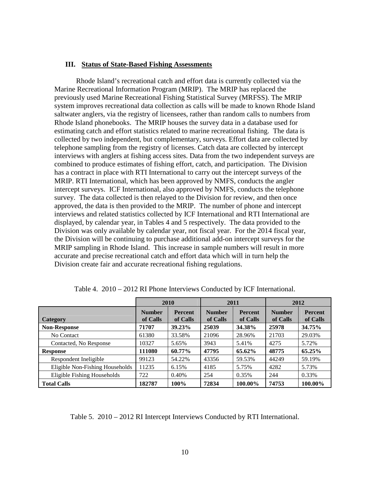#### **III. Status of State-Based Fishing Assessments**

Rhode Island's recreational catch and effort data is currently collected via the Marine Recreational Information Program (MRIP). The MRIP has replaced the previously used Marine Recreational Fishing Statistical Survey (MRFSS). The MRIP system improves recreational data collection as calls will be made to known Rhode Island saltwater anglers, via the registry of licensees, rather than random calls to numbers from Rhode Island phonebooks. The MRIP houses the survey data in a database used for estimating catch and effort statistics related to marine recreational fishing. The data is collected by two independent, but complementary, surveys. Effort data are collected by telephone sampling from the registry of licenses. Catch data are collected by intercept interviews with anglers at fishing access sites. Data from the two independent surveys are combined to produce estimates of fishing effort, catch, and participation. The Division has a contract in place with RTI International to carry out the intercept surveys of the MRIP. RTI International, which has been approved by NMFS, conducts the angler intercept surveys. ICF International, also approved by NMFS, conducts the telephone survey. The data collected is then relayed to the Division for review, and then once approved, the data is then provided to the MRIP. The number of phone and intercept interviews and related statistics collected by ICF International and RTI International are displayed, by calendar year, in Tables 4 and 5 respectively. The data provided to the Division was only available by calendar year, not fiscal year. For the 2014 fiscal year, the Division will be continuing to purchase additional add-on intercept surveys for the MRIP sampling in Rhode Island. This increase in sample numbers will result in more accurate and precise recreational catch and effort data which will in turn help the Division create fair and accurate recreational fishing regulations.

|                                 | 2010                                                    |        |                           | 2011                       | 2012                      |                            |
|---------------------------------|---------------------------------------------------------|--------|---------------------------|----------------------------|---------------------------|----------------------------|
| <b>Category</b>                 | <b>Number</b><br><b>Percent</b><br>of Calls<br>of Calls |        | <b>Number</b><br>of Calls | <b>Percent</b><br>of Calls | <b>Number</b><br>of Calls | <b>Percent</b><br>of Calls |
| <b>Non-Response</b>             | 71707                                                   | 39.23% | 25039                     | 34.38%                     | 25978                     | 34.75%                     |
| No Contact                      | 61380                                                   | 33.58% | 21096                     | 28.96%                     | 21703                     | 29.03%                     |
| Contacted, No Response          | 10327                                                   | 5.65%  | 3943                      | 5.41%                      | 4275                      | 5.72%                      |
| Response                        | 111080                                                  | 60.77% | 47795                     | 65.62%                     | 48775                     | 65.25%                     |
| Respondent Ineligible           | 99123                                                   | 54.22% | 43356                     | 59.53%                     | 44249                     | 59.19%                     |
| Eligible Non-Fishing Households | 11235                                                   | 6.15%  | 4185                      | 5.75%                      | 4282                      | 5.73%                      |
| Eligible Fishing Households     | 722                                                     | 0.40%  | 254                       | 0.35%                      | 244                       | 0.33%                      |
| <b>Total Calls</b>              | 182787                                                  | 100%   | 72834                     | 100.00%                    | 74753                     | 100.00%                    |

Table 4. 2010 – 2012 RI Phone Interviews Conducted by ICF International.

Table 5. 2010 – 2012 RI Intercept Interviews Conducted by RTI International.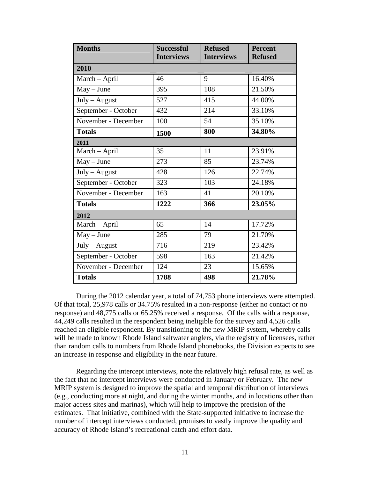| <b>Months</b>       | <b>Successful</b><br><b>Interviews</b> | <b>Refused</b><br><b>Interviews</b> | <b>Percent</b><br><b>Refused</b> |
|---------------------|----------------------------------------|-------------------------------------|----------------------------------|
| 2010                |                                        |                                     |                                  |
| March - April       | 46                                     | 9                                   | 16.40%                           |
| $May - June$        | 395                                    | 108                                 | 21.50%                           |
| July - August       | 527                                    | 415                                 | 44.00%                           |
| September - October | 432                                    | 214                                 | 33.10%                           |
| November - December | 100                                    | 54                                  | 35.10%                           |
| <b>Totals</b>       | 1500                                   | 800                                 | 34.80%                           |
| 2011                |                                        |                                     |                                  |
| March - April       | 35                                     | 11                                  | 23.91%                           |
| $May - June$        | 273                                    | 85                                  | 23.74%                           |
| July - August       | 428                                    | 126                                 | 22.74%                           |
| September - October | 323                                    | 103                                 | 24.18%                           |
| November - December | 163                                    | 41                                  | 20.10%                           |
| <b>Totals</b>       | 1222                                   | 366                                 | 23.05%                           |
| 2012                |                                        |                                     |                                  |
| March - April       | 65                                     | 14                                  | 17.72%                           |
| $May - June$        | 285                                    | 79                                  | 21.70%                           |
| July - August       | 716                                    | 219                                 | 23.42%                           |
| September - October | 598                                    | 163                                 | 21.42%                           |
| November - December | 124                                    | 23                                  | 15.65%                           |
| <b>Totals</b>       | 1788                                   | 498                                 | 21.78%                           |

During the 2012 calendar year, a total of 74,753 phone interviews were attempted. Of that total, 25,978 calls or 34.75% resulted in a non-response (either no contact or no response) and 48,775 calls or 65.25% received a response. Of the calls with a response, 44,249 calls resulted in the respondent being ineligible for the survey and 4,526 calls reached an eligible respondent. By transitioning to the new MRIP system, whereby calls will be made to known Rhode Island saltwater anglers, via the registry of licensees, rather than random calls to numbers from Rhode Island phonebooks, the Division expects to see an increase in response and eligibility in the near future.

Regarding the intercept interviews, note the relatively high refusal rate, as well as the fact that no intercept interviews were conducted in January or February. The new MRIP system is designed to improve the spatial and temporal distribution of interviews (e.g., conducting more at night, and during the winter months, and in locations other than major access sites and marinas), which will help to improve the precision of the estimates. That initiative, combined with the State-supported initiative to increase the number of intercept interviews conducted, promises to vastly improve the quality and accuracy of Rhode Island's recreational catch and effort data.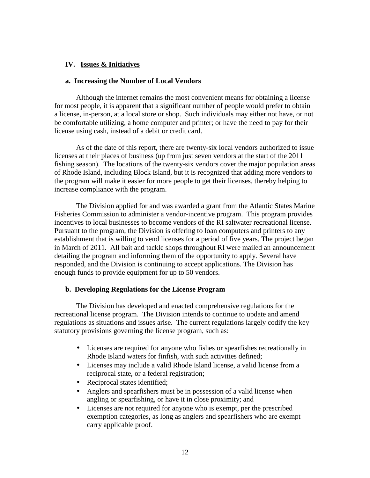#### **IV. Issues & Initiatives**

#### **a. Increasing the Number of Local Vendors**

Although the internet remains the most convenient means for obtaining a license for most people, it is apparent that a significant number of people would prefer to obtain a license, in-person, at a local store or shop. Such individuals may either not have, or not be comfortable utilizing, a home computer and printer; or have the need to pay for their license using cash, instead of a debit or credit card.

As of the date of this report, there are twenty-six local vendors authorized to issue licenses at their places of business (up from just seven vendors at the start of the 2011 fishing season). The locations of the twenty-six vendors cover the major population areas of Rhode Island, including Block Island, but it is recognized that adding more vendors to the program will make it easier for more people to get their licenses, thereby helping to increase compliance with the program.

The Division applied for and was awarded a grant from the Atlantic States Marine Fisheries Commission to administer a vendor-incentive program. This program provides incentives to local businesses to become vendors of the RI saltwater recreational license. Pursuant to the program, the Division is offering to loan computers and printers to any establishment that is willing to vend licenses for a period of five years. The project began in March of 2011. All bait and tackle shops throughout RI were mailed an announcement detailing the program and informing them of the opportunity to apply. Several have responded, and the Division is continuing to accept applications. The Division has enough funds to provide equipment for up to 50 vendors.

#### **b. Developing Regulations for the License Program**

The Division has developed and enacted comprehensive regulations for the recreational license program. The Division intends to continue to update and amend regulations as situations and issues arise. The current regulations largely codify the key statutory provisions governing the license program, such as:

- Licenses are required for anyone who fishes or spearfishes recreationally in Rhode Island waters for finfish, with such activities defined;
- Licenses may include a valid Rhode Island license, a valid license from a reciprocal state, or a federal registration;
- Reciprocal states identified;
- Anglers and spearfishers must be in possession of a valid license when angling or spearfishing, or have it in close proximity; and
- Licenses are not required for anyone who is exempt, per the prescribed exemption categories, as long as anglers and spearfishers who are exempt carry applicable proof.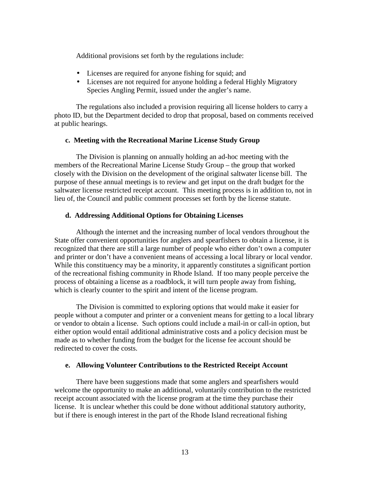Additional provisions set forth by the regulations include:

- Licenses are required for anyone fishing for squid; and
- Licenses are not required for anyone holding a federal Highly Migratory Species Angling Permit, issued under the angler's name.

The regulations also included a provision requiring all license holders to carry a photo ID, but the Department decided to drop that proposal, based on comments received at public hearings.

#### **c. Meeting with the Recreational Marine License Study Group**

 The Division is planning on annually holding an ad-hoc meeting with the members of the Recreational Marine License Study Group – the group that worked closely with the Division on the development of the original saltwater license bill. The purpose of these annual meetings is to review and get input on the draft budget for the saltwater license restricted receipt account. This meeting process is in addition to, not in lieu of, the Council and public comment processes set forth by the license statute.

#### **d. Addressing Additional Options for Obtaining Licenses**

Although the internet and the increasing number of local vendors throughout the State offer convenient opportunities for anglers and spearfishers to obtain a license, it is recognized that there are still a large number of people who either don't own a computer and printer or don't have a convenient means of accessing a local library or local vendor. While this constituency may be a minority, it apparently constitutes a significant portion of the recreational fishing community in Rhode Island. If too many people perceive the process of obtaining a license as a roadblock, it will turn people away from fishing, which is clearly counter to the spirit and intent of the license program.

The Division is committed to exploring options that would make it easier for people without a computer and printer or a convenient means for getting to a local library or vendor to obtain a license. Such options could include a mail-in or call-in option, but either option would entail additional administrative costs and a policy decision must be made as to whether funding from the budget for the license fee account should be redirected to cover the costs.

#### **e. Allowing Volunteer Contributions to the Restricted Receipt Account**

There have been suggestions made that some anglers and spearfishers would welcome the opportunity to make an additional, voluntarily contribution to the restricted receipt account associated with the license program at the time they purchase their license. It is unclear whether this could be done without additional statutory authority, but if there is enough interest in the part of the Rhode Island recreational fishing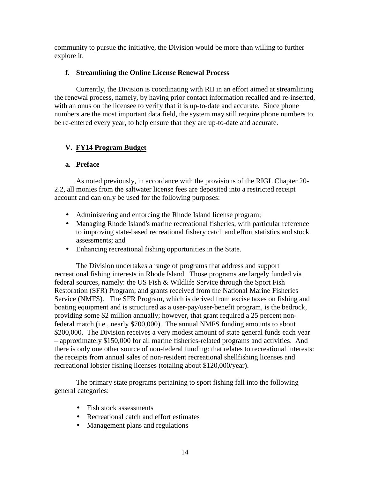community to pursue the initiative, the Division would be more than willing to further explore it.

#### **f. Streamlining the Online License Renewal Process**

Currently, the Division is coordinating with RII in an effort aimed at streamlining the renewal process, namely, by having prior contact information recalled and re-inserted, with an onus on the licensee to verify that it is up-to-date and accurate. Since phone numbers are the most important data field, the system may still require phone numbers to be re-entered every year, to help ensure that they are up-to-date and accurate.

#### **V. FY14 Program Budget**

#### **a. Preface**

As noted previously, in accordance with the provisions of the RIGL Chapter 20- 2.2, all monies from the saltwater license fees are deposited into a restricted receipt account and can only be used for the following purposes:

- Administering and enforcing the Rhode Island license program;
- Managing Rhode Island's marine recreational fisheries, with particular reference to improving state-based recreational fishery catch and effort statistics and stock assessments; and
- Enhancing recreational fishing opportunities in the State.

 The Division undertakes a range of programs that address and support recreational fishing interests in Rhode Island. Those programs are largely funded via federal sources, namely: the US Fish & Wildlife Service through the Sport Fish Restoration (SFR) Program; and grants received from the National Marine Fisheries Service (NMFS). The SFR Program, which is derived from excise taxes on fishing and boating equipment and is structured as a user-pay/user-benefit program, is the bedrock, providing some \$2 million annually; however, that grant required a 25 percent nonfederal match (i.e., nearly \$700,000). The annual NMFS funding amounts to about \$200,000. The Division receives a very modest amount of state general funds each year – approximately \$150,000 for all marine fisheries-related programs and activities. And there is only one other source of non-federal funding: that relates to recreational interests: the receipts from annual sales of non-resident recreational shellfishing licenses and recreational lobster fishing licenses (totaling about \$120,000/year).

The primary state programs pertaining to sport fishing fall into the following general categories:

- Fish stock assessments
- Recreational catch and effort estimates
- Management plans and regulations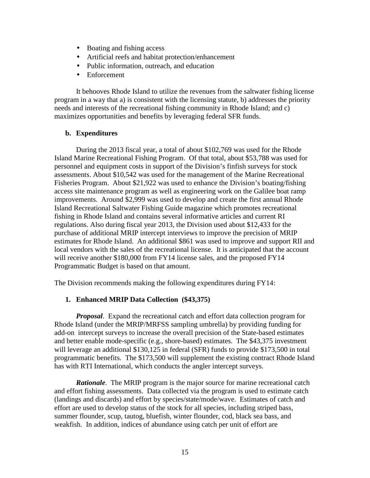- Boating and fishing access
- Artificial reefs and habitat protection/enhancement
- Public information, outreach, and education
- Enforcement

It behooves Rhode Island to utilize the revenues from the saltwater fishing license program in a way that a) is consistent with the licensing statute, b) addresses the priority needs and interests of the recreational fishing community in Rhode Island; and c) maximizes opportunities and benefits by leveraging federal SFR funds.

#### **b. Expenditures**

During the 2013 fiscal year, a total of about \$102,769 was used for the Rhode Island Marine Recreational Fishing Program. Of that total, about \$53,788 was used for personnel and equipment costs in support of the Division's finfish surveys for stock assessments. About \$10,542 was used for the management of the Marine Recreational Fisheries Program. About \$21,922 was used to enhance the Division's boating/fishing access site maintenance program as well as engineering work on the Galilee boat ramp improvements. Around \$2,999 was used to develop and create the first annual Rhode Island Recreational Saltwater Fishing Guide magazine which promotes recreational fishing in Rhode Island and contains several informative articles and current RI regulations. Also during fiscal year 2013, the Division used about \$12,433 for the purchase of additional MRIP intercept interviews to improve the precision of MRIP estimates for Rhode Island. An additional \$861 was used to improve and support RII and local vendors with the sales of the recreational license. It is anticipated that the account will receive another \$180,000 from FY14 license sales, and the proposed FY14 Programmatic Budget is based on that amount.

The Division recommends making the following expenditures during FY14:

#### **1. Enhanced MRIP Data Collection (\$43,375)**

*Proposal*. Expand the recreational catch and effort data collection program for Rhode Island (under the MRIP/MRFSS sampling umbrella) by providing funding for add-on intercept surveys to increase the overall precision of the State-based estimates and better enable mode-specific (e.g., shore-based) estimates. The \$43,375 investment will leverage an additional \$130,125 in federal (SFR) funds to provide \$173,500 in total programmatic benefits. The \$173,500 will supplement the existing contract Rhode Island has with RTI International, which conducts the angler intercept surveys.

*Rationale*. The MRIP program is the major source for marine recreational catch and effort fishing assessments. Data collected via the program is used to estimate catch (landings and discards) and effort by species/state/mode/wave. Estimates of catch and effort are used to develop status of the stock for all species, including striped bass, summer flounder, scup, tautog, bluefish, winter flounder, cod, black sea bass, and weakfish. In addition, indices of abundance using catch per unit of effort are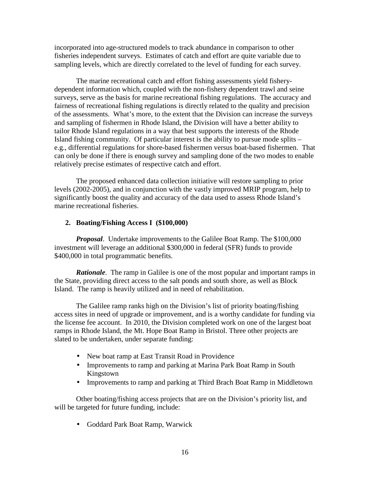incorporated into age-structured models to track abundance in comparison to other fisheries independent surveys. Estimates of catch and effort are quite variable due to sampling levels, which are directly correlated to the level of funding for each survey.

 The marine recreational catch and effort fishing assessments yield fisherydependent information which, coupled with the non-fishery dependent trawl and seine surveys, serve as the basis for marine recreational fishing regulations. The accuracy and fairness of recreational fishing regulations is directly related to the quality and precision of the assessments. What's more, to the extent that the Division can increase the surveys and sampling of fishermen in Rhode Island, the Division will have a better ability to tailor Rhode Island regulations in a way that best supports the interests of the Rhode Island fishing community. Of particular interest is the ability to pursue mode splits – e.g., differential regulations for shore-based fishermen versus boat-based fishermen. That can only be done if there is enough survey and sampling done of the two modes to enable relatively precise estimates of respective catch and effort.

The proposed enhanced data collection initiative will restore sampling to prior levels (2002-2005), and in conjunction with the vastly improved MRIP program, help to significantly boost the quality and accuracy of the data used to assess Rhode Island's marine recreational fisheries.

#### **2. Boating/Fishing Access I (\$100,000)**

*Proposal*. Undertake improvements to the Galilee Boat Ramp. The \$100,000 investment will leverage an additional \$300,000 in federal (SFR) funds to provide \$400,000 in total programmatic benefits.

*Rationale*. The ramp in Galilee is one of the most popular and important ramps in the State, providing direct access to the salt ponds and south shore, as well as Block Island. The ramp is heavily utilized and in need of rehabilitation.

 The Galilee ramp ranks high on the Division's list of priority boating/fishing access sites in need of upgrade or improvement, and is a worthy candidate for funding via the license fee account. In 2010, the Division completed work on one of the largest boat ramps in Rhode Island, the Mt. Hope Boat Ramp in Bristol. Three other projects are slated to be undertaken, under separate funding:

- New boat ramp at East Transit Road in Providence
- Improvements to ramp and parking at Marina Park Boat Ramp in South Kingstown
- Improvements to ramp and parking at Third Brach Boat Ramp in Middletown

 Other boating/fishing access projects that are on the Division's priority list, and will be targeted for future funding, include:

• Goddard Park Boat Ramp, Warwick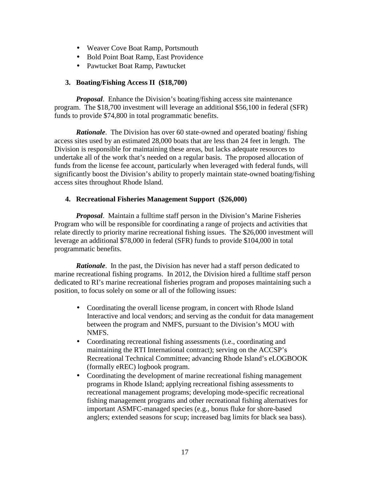- Weaver Cove Boat Ramp, Portsmouth
- Bold Point Boat Ramp, East Providence
- Pawtucket Boat Ramp, Pawtucket

#### **3. Boating/Fishing Access II (\$18,700)**

*Proposal*. Enhance the Division's boating/fishing access site maintenance program. The \$18,700 investment will leverage an additional \$56,100 in federal (SFR) funds to provide \$74,800 in total programmatic benefits.

*Rationale*. The Division has over 60 state-owned and operated boating/ fishing access sites used by an estimated 28,000 boats that are less than 24 feet in length. The Division is responsible for maintaining these areas, but lacks adequate resources to undertake all of the work that's needed on a regular basis. The proposed allocation of funds from the license fee account, particularly when leveraged with federal funds, will significantly boost the Division's ability to properly maintain state-owned boating/fishing access sites throughout Rhode Island.

#### **4. Recreational Fisheries Management Support (\$26,000)**

*Proposal*. Maintain a fulltime staff person in the Division's Marine Fisheries Program who will be responsible for coordinating a range of projects and activities that relate directly to priority marine recreational fishing issues. The \$26,000 investment will leverage an additional \$78,000 in federal (SFR) funds to provide \$104,000 in total programmatic benefits.

*Rationale*. In the past, the Division has never had a staff person dedicated to marine recreational fishing programs. In 2012, the Division hired a fulltime staff person dedicated to RI's marine recreational fisheries program and proposes maintaining such a position, to focus solely on some or all of the following issues:

- Coordinating the overall license program, in concert with Rhode Island Interactive and local vendors; and serving as the conduit for data management between the program and NMFS, pursuant to the Division's MOU with NMFS.
- Coordinating recreational fishing assessments (i.e., coordinating and maintaining the RTI International contract); serving on the ACCSP's Recreational Technical Committee; advancing Rhode Island's eLOGBOOK (formally eREC) logbook program.
- Coordinating the development of marine recreational fishing management programs in Rhode Island; applying recreational fishing assessments to recreational management programs; developing mode-specific recreational fishing management programs and other recreational fishing alternatives for important ASMFC-managed species (e.g., bonus fluke for shore-based anglers; extended seasons for scup; increased bag limits for black sea bass).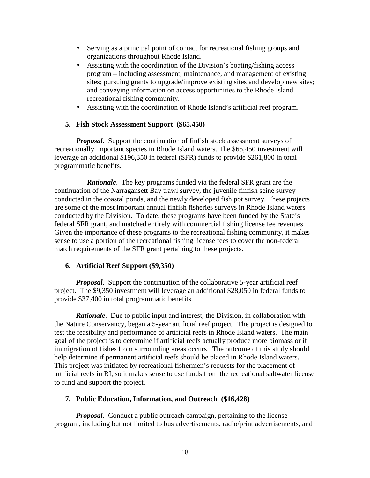- Serving as a principal point of contact for recreational fishing groups and organizations throughout Rhode Island.
- Assisting with the coordination of the Division's boating/fishing access program – including assessment, maintenance, and management of existing sites; pursuing grants to upgrade/improve existing sites and develop new sites; and conveying information on access opportunities to the Rhode Island recreational fishing community.
- Assisting with the coordination of Rhode Island's artificial reef program.

#### **5. Fish Stock Assessment Support (\$65,450)**

*Proposal.* Support the continuation of finfish stock assessment surveys of recreationally important species in Rhode Island waters. The \$65,450 investment will leverage an additional \$196,350 in federal (SFR) funds to provide \$261,800 in total programmatic benefits.

*Rationale*. The key programs funded via the federal SFR grant are the continuation of the Narragansett Bay trawl survey, the juvenile finfish seine survey conducted in the coastal ponds, and the newly developed fish pot survey. These projects are some of the most important annual finfish fisheries surveys in Rhode Island waters conducted by the Division. To date, these programs have been funded by the State's federal SFR grant, and matched entirely with commercial fishing license fee revenues. Given the importance of these programs to the recreational fishing community, it makes sense to use a portion of the recreational fishing license fees to cover the non-federal match requirements of the SFR grant pertaining to these projects.

#### **6. Artificial Reef Support (\$9,350)**

*Proposal.* Support the continuation of the collaborative 5-year artificial reef project. The \$9,350 investment will leverage an additional \$28,050 in federal funds to provide \$37,400 in total programmatic benefits.

*Rationale.* Due to public input and interest, the Division, in collaboration with the Nature Conservancy, began a 5-year artificial reef project. The project is designed to test the feasibility and performance of artificial reefs in Rhode Island waters. The main goal of the project is to determine if artificial reefs actually produce more biomass or if immigration of fishes from surrounding areas occurs. The outcome of this study should help determine if permanent artificial reefs should be placed in Rhode Island waters. This project was initiated by recreational fishermen's requests for the placement of artificial reefs in RI, so it makes sense to use funds from the recreational saltwater license to fund and support the project.

#### **7. Public Education, Information, and Outreach (\$16,428)**

*Proposal*. Conduct a public outreach campaign, pertaining to the license program, including but not limited to bus advertisements, radio/print advertisements, and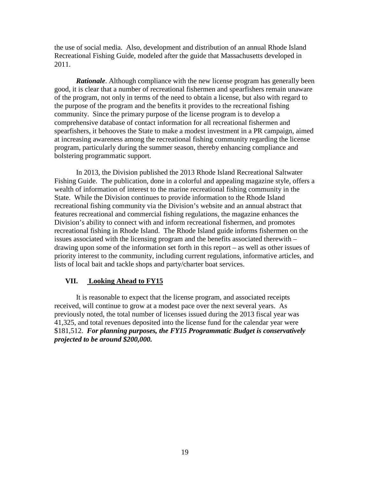the use of social media. Also, development and distribution of an annual Rhode Island Recreational Fishing Guide, modeled after the guide that Massachusetts developed in 2011.

*Rationale*. Although compliance with the new license program has generally been good, it is clear that a number of recreational fishermen and spearfishers remain unaware of the program, not only in terms of the need to obtain a license, but also with regard to the purpose of the program and the benefits it provides to the recreational fishing community. Since the primary purpose of the license program is to develop a comprehensive database of contact information for all recreational fishermen and spearfishers, it behooves the State to make a modest investment in a PR campaign, aimed at increasing awareness among the recreational fishing community regarding the license program, particularly during the summer season, thereby enhancing compliance and bolstering programmatic support.

In 2013, the Division published the 2013 Rhode Island Recreational Saltwater Fishing Guide. The publication, done in a colorful and appealing magazine style, offers a wealth of information of interest to the marine recreational fishing community in the State. While the Division continues to provide information to the Rhode Island recreational fishing community via the Division's website and an annual abstract that features recreational and commercial fishing regulations, the magazine enhances the Division's ability to connect with and inform recreational fishermen, and promotes recreational fishing in Rhode Island. The Rhode Island guide informs fishermen on the issues associated with the licensing program and the benefits associated therewith – drawing upon some of the information set forth in this report – as well as other issues of priority interest to the community, including current regulations, informative articles, and lists of local bait and tackle shops and party/charter boat services.

#### **VII. Looking Ahead to FY15**

It is reasonable to expect that the license program, and associated receipts received, will continue to grow at a modest pace over the next several years. As previously noted, the total number of licenses issued during the 2013 fiscal year was 41,325, and total revenues deposited into the license fund for the calendar year were \$181,512. *For planning purposes, the FY15 Programmatic Budget is conservatively projected to be around \$200,000.*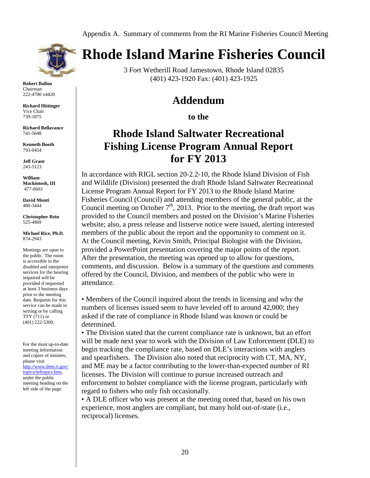

**Robert Ballou**  Chairman 222-4700 x4420

**Richard Hittinger**  Vice Chair 739-1875

**Richard Bellavance** 741-5648

**Kenneth Booth** 793-0454

**Jeff Grant**  243-5123

**William Mackintosh, III**  477-0603

**David Monti** 480-3444

**Christopher Rein**  525-4969

**Michael Rice, Ph.D.**  874-2943

Meetings are open to the public. The room is accessible to the disabled and interpreter services for the hearing impaired will be provided if requested at least 3 business days prior to the meeting date. Requests for this service can be made in writing or by calling TTY (711) or (401) 222-5300.

For the most up-to-date meeting information and copies of minutes, please visit http://www.dem.ri.gov/ topics/mftopics.htm, under the public meeting heading on the left side of the page.

# **Rhode Island Marine Fisheries Council**

3 Fort Wetherill Road Jamestown, Rhode Island 02835 (401) 423-1920 Fax: (401) 423-1925

### **Addendum**

**to the** 

## **Rhode Island Saltwater Recreational Fishing License Program Annual Report for FY 2013**

In accordance with RIGL section 20-2.2-10, the Rhode Island Division of Fish and Wildlife (Division) presented the draft Rhode Island Saltwater Recreational License Program Annual Report for FY 2013 to the Rhode Island Marine Fisheries Council (Council) and attending members of the general public, at the Council meeting on October  $7<sup>th</sup>$ , 2013. Prior to the meeting, the draft report was provided to the Council members and posted on the Division's Marine Fisheries website; also, a press release and listserve notice were issued, alerting interested members of the public about the report and the opportunity to comment on it. At the Council meeting, Kevin Smith, Principal Biologist with the Division, provided a PowerPoint presentation covering the major points of the report. After the presentation, the meeting was opened up to allow for questions, comments, and discussion. Below is a summary of the questions and comments offered by the Council, Division, and members of the public who were in attendance.

• Members of the Council inquired about the trends in licensing and why the numbers of licenses issued seem to have leveled off to around 42,000; they asked if the rate of compliance in Rhode Island was known or could be determined.

• The Division stated that the current compliance rate is unknown, but an effort will be made next year to work with the Division of Law Enforcement (DLE) to begin tracking the compliance rate, based on DLE's interactions with anglers and spearfishers. The Division also noted that reciprocity with CT, MA, NY, and ME may be a factor contributing to the lower-than-expected number of RI licenses. The Division will continue to pursue increased outreach and enforcement to bolster compliance with the license program, particularly with regard to fishers who only fish occasionally.

• A DLE officer who was present at the meeting noted that, based on his own experience, most anglers are compliant, but many hold out-of-state (i.e., reciprocal) licenses.